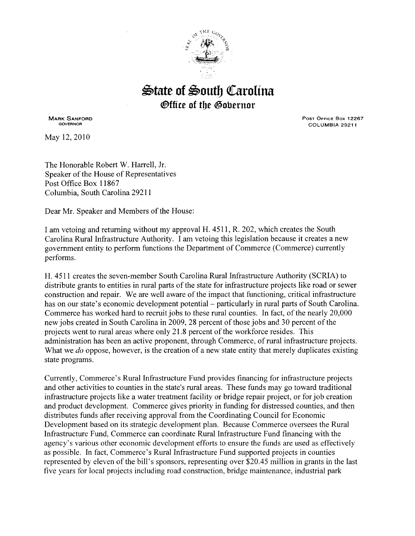

## $\mathfrak{B}$ tate of  $\mathfrak{B}$ outh Carolina *®ffice of the Gobernor*

MARK SANFORD GOVERNOR

May 12, 2010

Post Office Box 12267 COLUMBIA 29211

The Honorable Robert W. Harrell, Jr. Speaker of the House of Representatives Post Office Box 11867 Columbia, South Carolina 29211

Dear Mr. Speaker and Members of the House:

I am vetoing and returning without my approval H. 4511, R. 202, which creates the South Carolina Rural Infrastructure Authority. I am vetoing this legislation because it creates a new government entity to perform functions the Department of Commerce (Commerce) currently performs.

H. 4511 creates the seven-member South Carolina Rural Infrastructure Authority (SCRIA) to distribute grants to entities in rural parts of the state for infrastructure projects like road or sewer construction and repair. We are well aware of the impact that functioning, critical infrastructure has on our state's economic development potential – particularly in rural parts of South Carolina. Commerce has worked hard to recruit jobs to these rural counties. In fact, of the nearly 20,000 new jobs created in South Carolina in 2009, 28 percent of those jobs and 30 percent of the projects went to rural areas where only 21.8 percent ofthe workforce resides. This administration has been an active proponent, through Commerce, of rural infrastructure projects. What we *do* oppose, however, is the creation of a new state entity that merely duplicates existing state programs.

Currently, Commerce's Rural Infrastructure Fund provides financing for infrastructure projects and other activities to counties in the state's rural areas. These funds may go toward traditional infrastructure projects like a water treatment facility or bridge repair project, or for job creation and product development. Commerce gives priority in funding for distressed counties, and then distributes funds after receiving approval from the Coordinating Council for Economic Development based on its strategic development plan. Because Commerce oversees the Rural Infrastructure Fund, Commerce can coordinate Rural Infrastructure Fund financing with the agency's various other economic development efforts to ensure the funds are used as effectively as possible. In fact, Commerce's Rural Infrastructure Fund supported projects in counties represented by eleven of the bill's sponsors, representing over \$20.45 million in grants in the last five years for local projects including road construction, bridge maintenance, industrial park